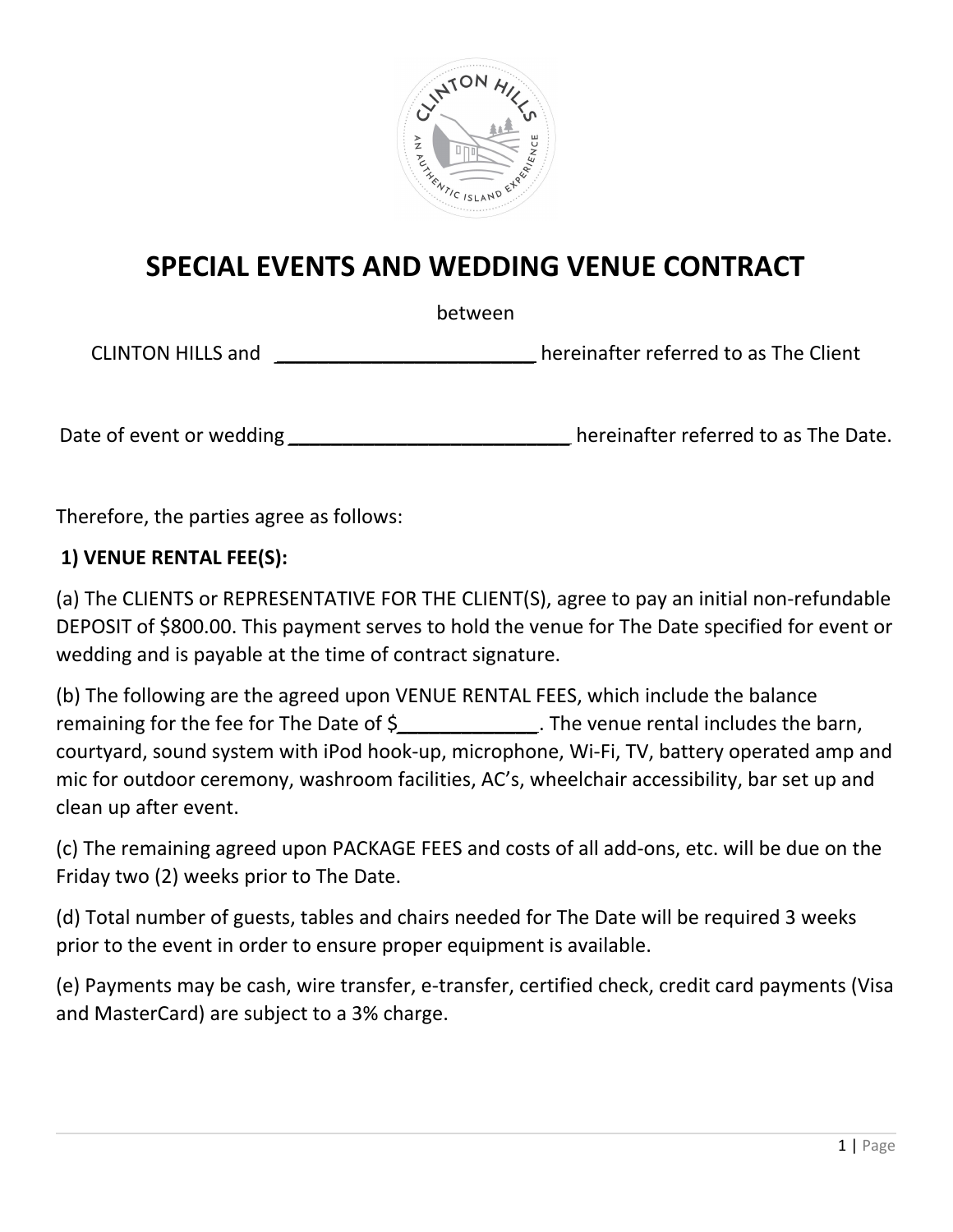

# **SPECIAL EVENTS AND WEDDING VENUE CONTRACT**

between

CLINTON HILLS and *\_\_\_\_\_\_\_\_\_\_\_\_\_\_\_\_\_\_\_\_\_\_\_\_* hereinafter referred to as The Client

Date of event or wedding \_\_\_\_\_\_\_\_\_\_\_\_\_\_\_\_\_\_\_\_\_\_\_\_\_\_\_\_\_\_\_hereinafter referred to as The Date.

Therefore, the parties agree as follows:

#### **1) VENUE RENTAL FEE(S):**

(a) The CLIENTS or REPRESENTATIVE FOR THE CLIENT(S), agree to pay an initial non-refundable DEPOSIT of \$800.00. This payment serves to hold the venue for The Date specified for event or wedding and is payable at the time of contract signature.

(b) The following are the agreed upon VENUE RENTAL FEES, which include the balance remaining for the fee for The Date of \$*\_\_\_\_\_\_\_\_\_\_\_\_\_*. The venue rental includes the barn, courtyard, sound system with iPod hook-up, microphone, Wi-Fi, TV, battery operated amp and mic for outdoor ceremony, washroom facilities, AC's, wheelchair accessibility, bar set up and clean up after event.

(c) The remaining agreed upon PACKAGE FEES and costs of all add-ons, etc. will be due on the Friday two (2) weeks prior to The Date.

(d) Total number of guests, tables and chairs needed for The Date will be required 3 weeks prior to the event in order to ensure proper equipment is available.

(e) Payments may be cash, wire transfer, e-transfer, certified check, credit card payments (Visa and MasterCard) are subject to a 3% charge.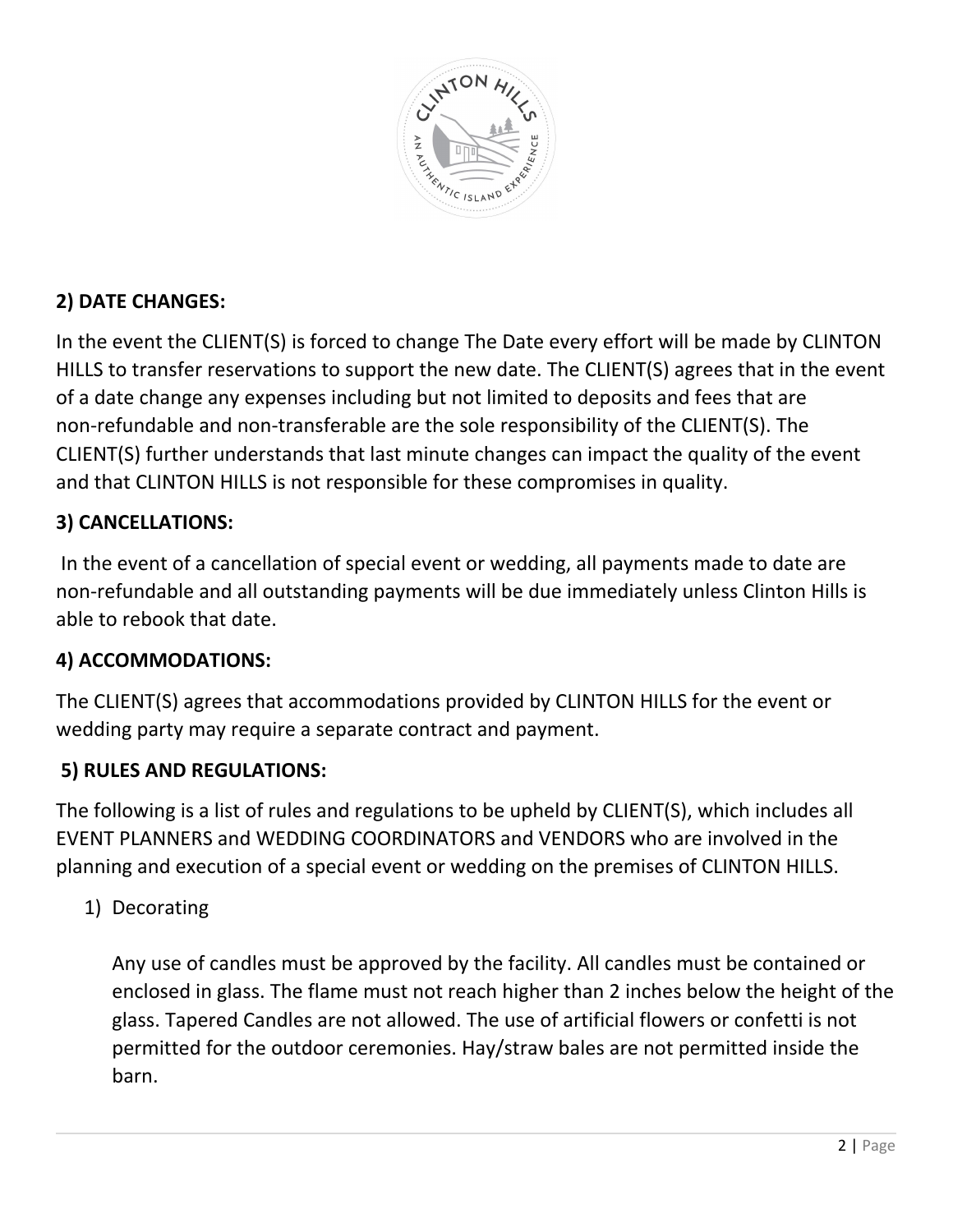

## **2) DATE CHANGES:**

In the event the CLIENT(S) is forced to change The Date every effort will be made by CLINTON HILLS to transfer reservations to support the new date. The CLIENT(S) agrees that in the event of a date change any expenses including but not limited to deposits and fees that are non-refundable and non-transferable are the sole responsibility of the CLIENT(S). The CLIENT(S) further understands that last minute changes can impact the quality of the event and that CLINTON HILLS is not responsible for these compromises in quality.

## **3) CANCELLATIONS:**

In the event of a cancellation of special event or wedding, all payments made to date are non-refundable and all outstanding payments will be due immediately unless Clinton Hills is able to rebook that date.

### **4) ACCOMMODATIONS:**

The CLIENT(S) agrees that accommodations provided by CLINTON HILLS for the event or wedding party may require a separate contract and payment.

### **5) RULES AND REGULATIONS:**

The following is a list of rules and regulations to be upheld by CLIENT(S), which includes all EVENT PLANNERS and WEDDING COORDINATORS and VENDORS who are involved in the planning and execution of a special event or wedding on the premises of CLINTON HILLS.

1) Decorating

Any use of candles must be approved by the facility. All candles must be contained or enclosed in glass. The flame must not reach higher than 2 inches below the height of the glass. Tapered Candles are not allowed. The use of artificial flowers or confetti is not permitted for the outdoor ceremonies. Hay/straw bales are not permitted inside the barn.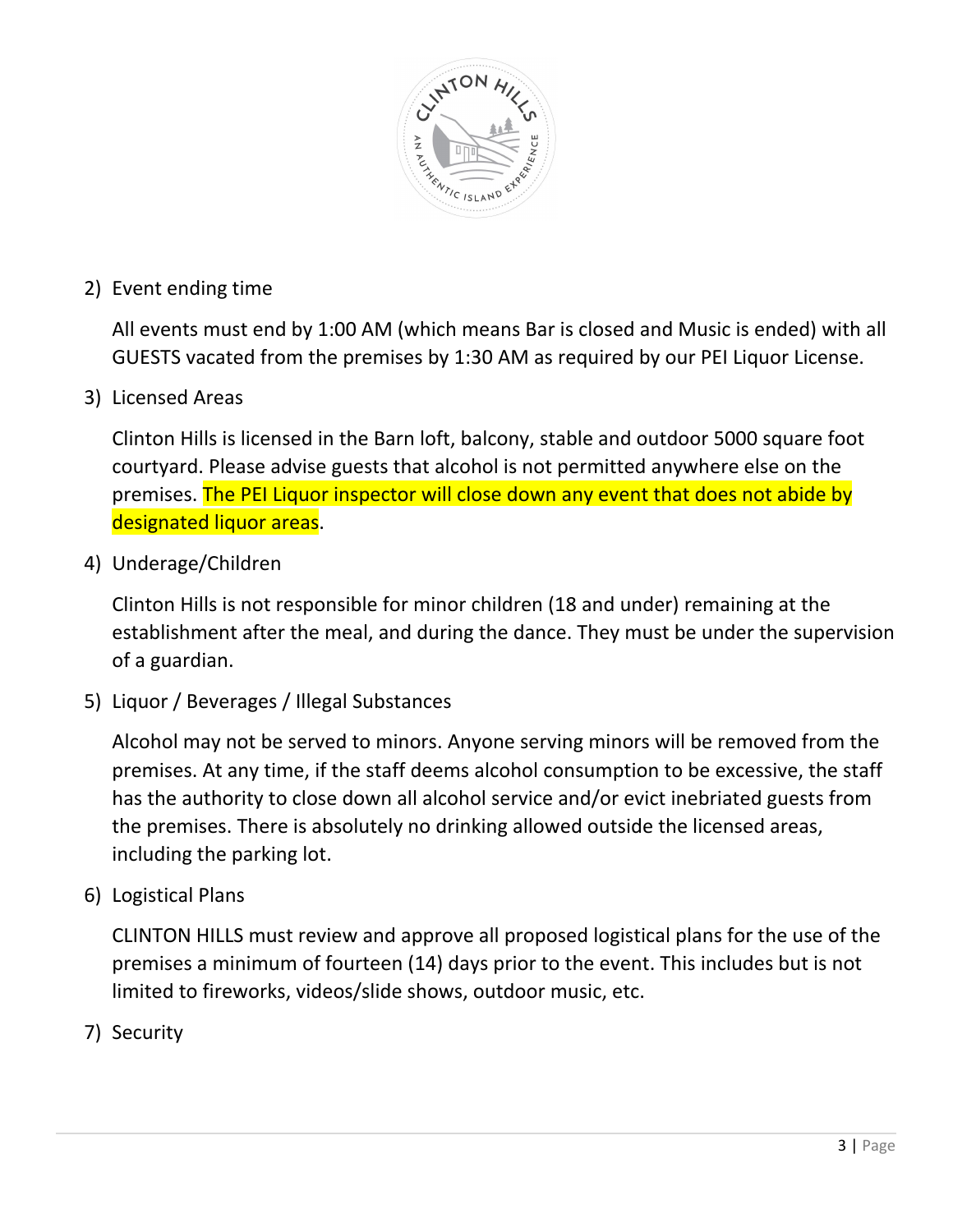

2) Event ending time

All events must end by 1:00 AM (which means Bar is closed and Music is ended) with all GUESTS vacated from the premises by 1:30 AM as required by our PEI Liquor License.

3) Licensed Areas

Clinton Hills is licensed in the Barn loft, balcony, stable and outdoor 5000 square foot courtyard. Please advise guests that alcohol is not permitted anywhere else on the premises. The PEI Liquor inspector will close down any event that does not abide by designated liquor areas.

4) Underage/Children

Clinton Hills is not responsible for minor children (18 and under) remaining at the establishment after the meal, and during the dance. They must be under the supervision of a guardian.

5) Liquor / Beverages / Illegal Substances

Alcohol may not be served to minors. Anyone serving minors will be removed from the premises. At any time, if the staff deems alcohol consumption to be excessive, the staff has the authority to close down all alcohol service and/or evict inebriated guests from the premises. There is absolutely no drinking allowed outside the licensed areas, including the parking lot.

6) Logistical Plans

CLINTON HILLS must review and approve all proposed logistical plans for the use of the premises a minimum of fourteen (14) days prior to the event. This includes but is not limited to fireworks, videos/slide shows, outdoor music, etc.

7) Security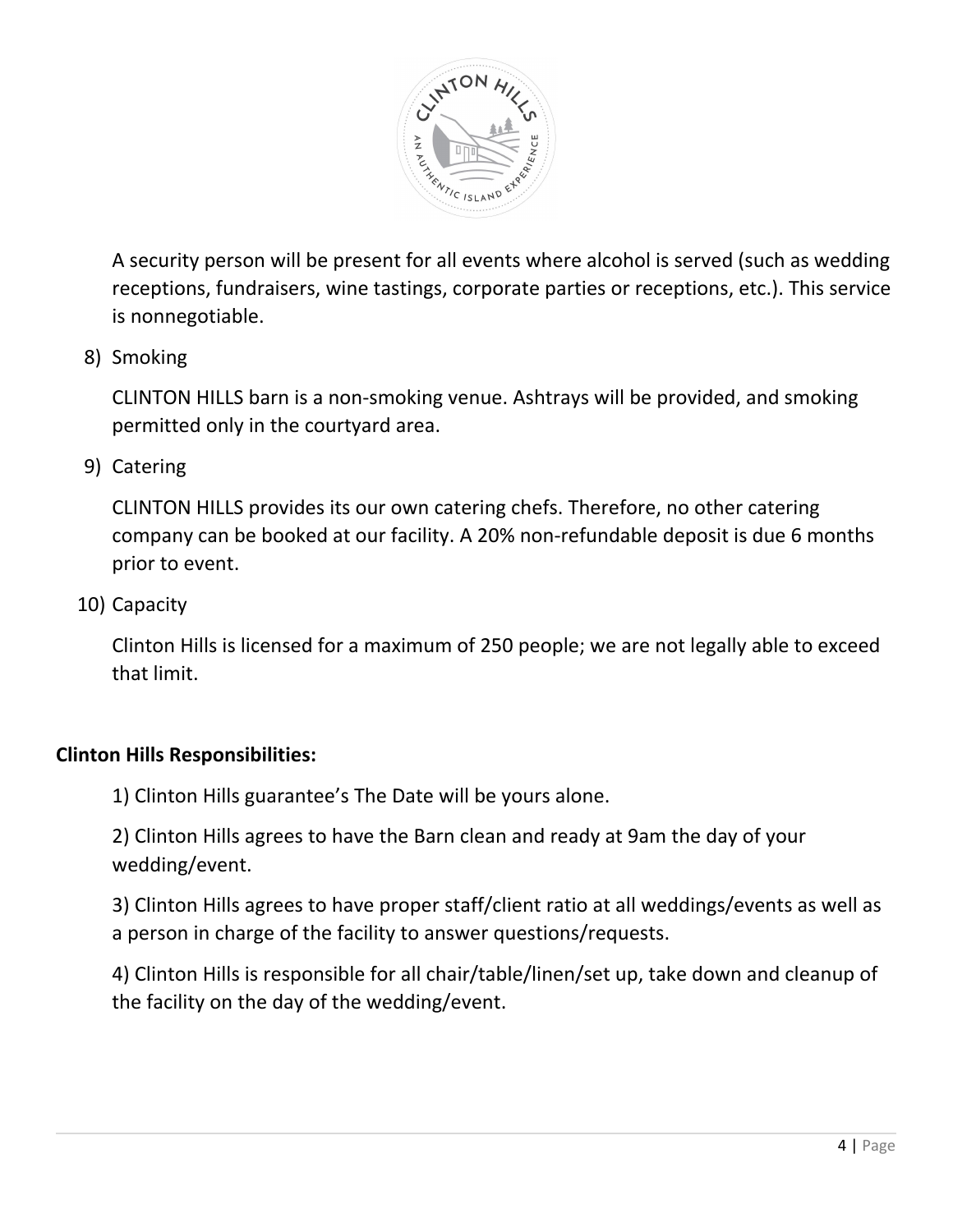

A security person will be present for all events where alcohol is served (such as wedding receptions, fundraisers, wine tastings, corporate parties or receptions, etc.). This service is nonnegotiable.

#### 8) Smoking

CLINTON HILLS barn is a non-smoking venue. Ashtrays will be provided, and smoking permitted only in the courtyard area.

9) Catering

CLINTON HILLS provides its our own catering chefs. Therefore, no other catering company can be booked at our facility. A 20% non-refundable deposit is due 6 months prior to event.

10) Capacity

Clinton Hills is licensed for a maximum of 250 people; we are not legally able to exceed that limit.

#### **Clinton Hills Responsibilities:**

1) Clinton Hills guarantee's The Date will be yours alone.

2) Clinton Hills agrees to have the Barn clean and ready at 9am the day of your wedding/event.

3) Clinton Hills agrees to have proper staff/client ratio at all weddings/events as well as a person in charge of the facility to answer questions/requests.

4) Clinton Hills is responsible for all chair/table/linen/set up, take down and cleanup of the facility on the day of the wedding/event.